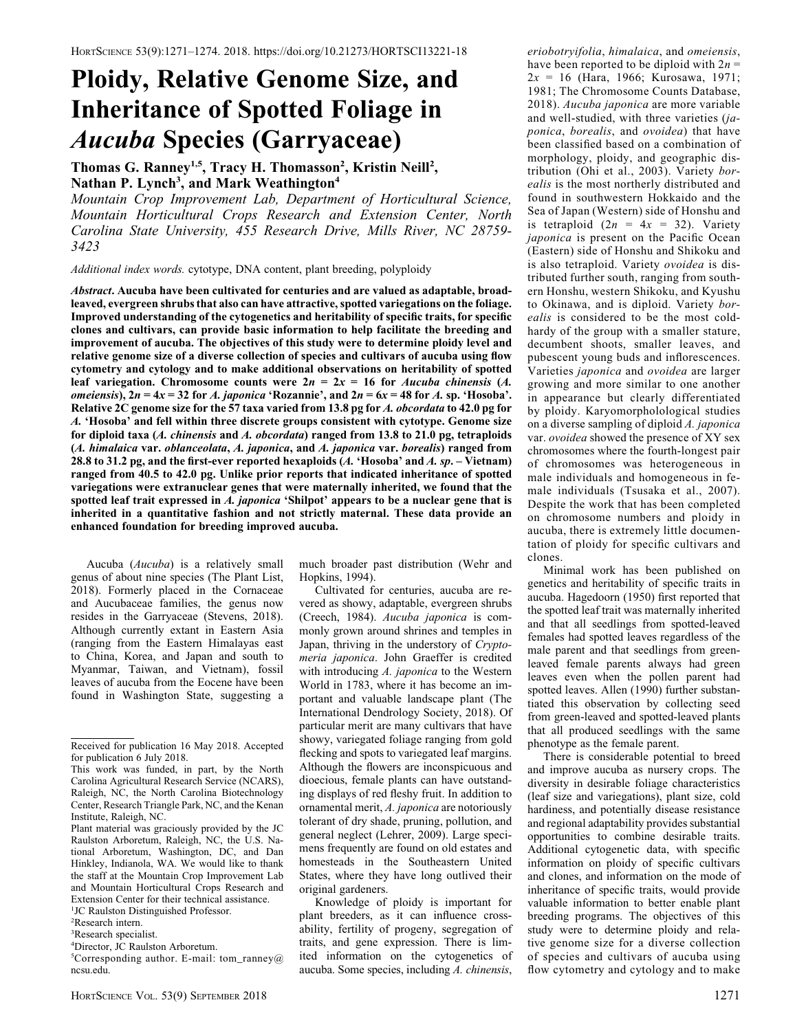## Ploidy, Relative Genome Size, and Inheritance of Spotted Foliage in Aucuba Species (Garryaceae)

Thomas G. Ranney<sup>1,5</sup>, Tracy H. Thomasson<sup>2</sup>, Kristin Neill<sup>2</sup>, Nathan P. Lynch<sup>3</sup>, and Mark Weathington<sup>4</sup>

Mountain Crop Improvement Lab, Department of Horticultural Science, Mountain Horticultural Crops Research and Extension Center, North Carolina State University, 455 Research Drive, Mills River, NC 28759- 3423

Additional index words. cytotype, DNA content, plant breeding, polyploidy

Abstract. Aucuba have been cultivated for centuries and are valued as adaptable, broadleaved, evergreen shrubs that also can have attractive, spotted variegations on the foliage. Improved understanding of the cytogenetics and heritability of specific traits, for specific clones and cultivars, can provide basic information to help facilitate the breeding and improvement of aucuba. The objectives of this study were to determine ploidy level and relative genome size of a diverse collection of species and cultivars of aucuba using flow cytometry and cytology and to make additional observations on heritability of spotted leaf variegation. Chromosome counts were  $2n = 2x = 16$  for *Aucuba chinensis (A.*) *omeiensis*),  $2n = 4x = 32$  for A. *japonica* 'Rozannie', and  $2n = 6x = 48$  for A. sp. 'Hosoba'. Relative 2C genome size for the 57 taxa varied from 13.8 pg for A. obcordata to 42.0 pg for A. 'Hosoba' and fell within three discrete groups consistent with cytotype. Genome size for diploid taxa (A. chinensis and A. obcordata) ranged from 13.8 to 21.0 pg, tetraploids (A. himalaica var. oblanceolata, A. japonica, and A. japonica var. borealis) ranged from 28.8 to 31.2 pg, and the first-ever reported hexaploids  $(A.$  'Hosoba' and  $A.$  sp. – Vietnam) ranged from 40.5 to 42.0 pg. Unlike prior reports that indicated inheritance of spotted variegations were extranuclear genes that were maternally inherited, we found that the spotted leaf trait expressed in A. japonica 'Shilpot' appears to be a nuclear gene that is inherited in a quantitative fashion and not strictly maternal. These data provide an enhanced foundation for breeding improved aucuba.

Aucuba (Aucuba) is a relatively small genus of about nine species (The Plant List, 2018). Formerly placed in the Cornaceae and Aucubaceae families, the genus now resides in the Garryaceae (Stevens, 2018). Although currently extant in Eastern Asia (ranging from the Eastern Himalayas east to China, Korea, and Japan and south to Myanmar, Taiwan, and Vietnam), fossil leaves of aucuba from the Eocene have been found in Washington State, suggesting a

Plant material was graciously provided by the JC Raulston Arboretum, Raleigh, NC, the U.S. National Arboretum, Washington, DC, and Dan Hinkley, Indianola, WA. We would like to thank the staff at the Mountain Crop Improvement Lab and Mountain Horticultural Crops Research and Extension Center for their technical assistance.

<sup>1</sup>JC Raulston Distinguished Professor.

2 Research intern.

5 Corresponding author. E-mail: tom\_ranney@ ncsu.edu.

much broader past distribution (Wehr and Hopkins, 1994).

Cultivated for centuries, aucuba are revered as showy, adaptable, evergreen shrubs (Creech, 1984). Aucuba japonica is commonly grown around shrines and temples in Japan, thriving in the understory of Cryptomeria japonica. John Graeffer is credited with introducing A. japonica to the Western World in 1783, where it has become an important and valuable landscape plant (The International Dendrology Society, 2018). Of particular merit are many cultivars that have showy, variegated foliage ranging from gold flecking and spots to variegated leaf margins. Although the flowers are inconspicuous and dioecious, female plants can have outstanding displays of red fleshy fruit. In addition to ornamental merit, A. japonica are notoriously tolerant of dry shade, pruning, pollution, and general neglect (Lehrer, 2009). Large specimens frequently are found on old estates and homesteads in the Southeastern United States, where they have long outlived their original gardeners.

Knowledge of ploidy is important for plant breeders, as it can influence crossability, fertility of progeny, segregation of traits, and gene expression. There is limited information on the cytogenetics of aucuba. Some species, including A. chinensis,

eriobotryifolia, himalaica, and omeiensis, have been reported to be diploid with  $2n =$  $2x = 16$  (Hara, 1966; Kurosawa, 1971; 1981; The Chromosome Counts Database, 2018). Aucuba japonica are more variable and well-studied, with three varieties (japonica, borealis, and ovoidea) that have been classified based on a combination of morphology, ploidy, and geographic distribution (Ohi et al., 2003). Variety borealis is the most northerly distributed and found in southwestern Hokkaido and the Sea of Japan (Western) side of Honshu and is tetraploid  $(2n = 4x = 32)$ . Variety japonica is present on the Pacific Ocean (Eastern) side of Honshu and Shikoku and is also tetraploid. Variety ovoidea is distributed further south, ranging from southern Honshu, western Shikoku, and Kyushu to Okinawa, and is diploid. Variety borealis is considered to be the most coldhardy of the group with a smaller stature, decumbent shoots, smaller leaves, and pubescent young buds and inflorescences. Varieties japonica and ovoidea are larger growing and more similar to one another in appearance but clearly differentiated by ploidy. Karyomorpholological studies on a diverse sampling of diploid A. japonica var. ovoidea showed the presence of XY sex chromosomes where the fourth-longest pair of chromosomes was heterogeneous in male individuals and homogeneous in female individuals (Tsusaka et al., 2007). Despite the work that has been completed on chromosome numbers and ploidy in aucuba, there is extremely little documentation of ploidy for specific cultivars and clones.

Minimal work has been published on genetics and heritability of specific traits in aucuba. Hagedoorn (1950) first reported that the spotted leaf trait was maternally inherited and that all seedlings from spotted-leaved females had spotted leaves regardless of the male parent and that seedlings from greenleaved female parents always had green leaves even when the pollen parent had spotted leaves. Allen (1990) further substantiated this observation by collecting seed from green-leaved and spotted-leaved plants that all produced seedlings with the same phenotype as the female parent.

There is considerable potential to breed and improve aucuba as nursery crops. The diversity in desirable foliage characteristics (leaf size and variegations), plant size, cold hardiness, and potentially disease resistance and regional adaptability provides substantial opportunities to combine desirable traits. Additional cytogenetic data, with specific information on ploidy of specific cultivars and clones, and information on the mode of inheritance of specific traits, would provide valuable information to better enable plant breeding programs. The objectives of this study were to determine ploidy and relative genome size for a diverse collection of species and cultivars of aucuba using flow cytometry and cytology and to make

Received for publication 16 May 2018. Accepted for publication 6 July 2018.

This work was funded, in part, by the North Carolina Agricultural Research Service (NCARS), Raleigh, NC, the North Carolina Biotechnology Center, Research Triangle Park, NC, and the Kenan Institute, Raleigh, NC.

<sup>3</sup> Research specialist. 4 Director, JC Raulston Arboretum.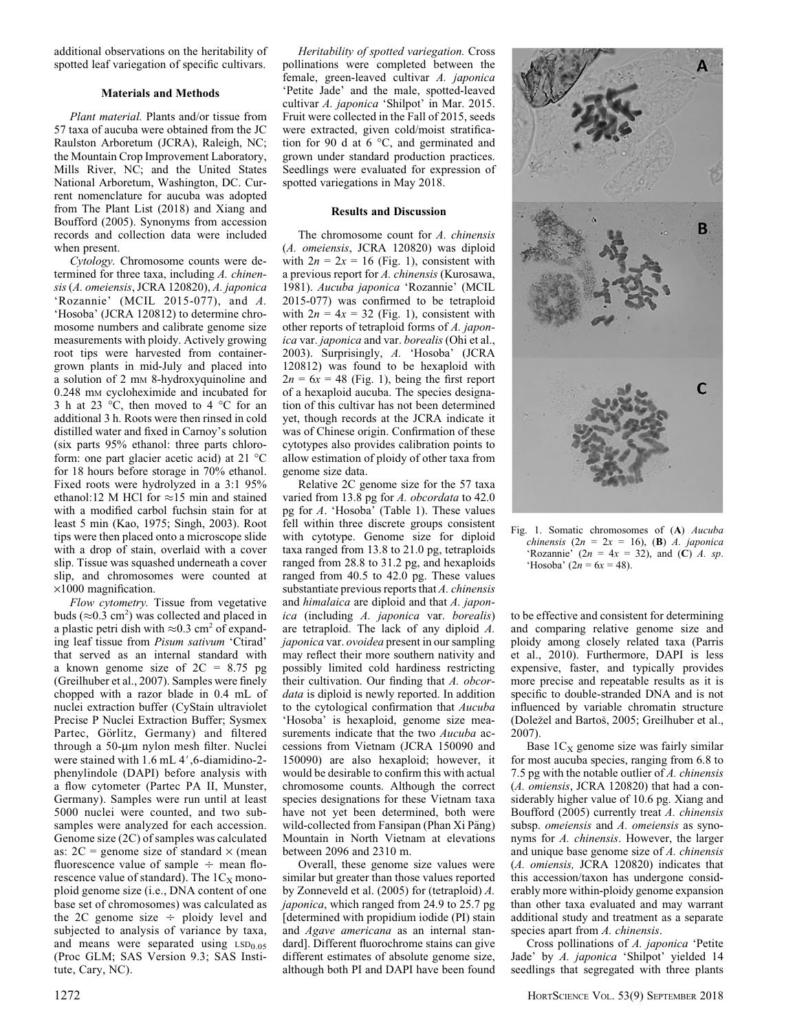additional observations on the heritability of spotted leaf variegation of specific cultivars.

## Materials and Methods

Plant material. Plants and/or tissue from 57 taxa of aucuba were obtained from the JC Raulston Arboretum (JCRA), Raleigh, NC; the Mountain Crop Improvement Laboratory, Mills River, NC; and the United States National Arboretum, Washington, DC. Current nomenclature for aucuba was adopted from The Plant List (2018) and Xiang and Boufford (2005). Synonyms from accession records and collection data were included when present.

Cytology. Chromosome counts were determined for three taxa, including A. chinensis (A. omeiensis, JCRA 120820), A. japonica 'Rozannie' (MCIL 2015-077), and A. 'Hosoba' (JCRA 120812) to determine chromosome numbers and calibrate genome size measurements with ploidy. Actively growing root tips were harvested from containergrown plants in mid-July and placed into a solution of 2 mm 8-hydroxyquinoline and 0.248 mM cycloheximide and incubated for 3 h at 23  $\degree$ C, then moved to 4  $\degree$ C for an additional 3 h. Roots were then rinsed in cold distilled water and fixed in Carnoy's solution (six parts 95% ethanol: three parts chloroform: one part glacier acetic acid) at  $21^{\circ}$ C for 18 hours before storage in 70% ethanol. Fixed roots were hydrolyzed in a 3:1 95% ethanol:12 M HCl for  $\approx$ 15 min and stained with a modified carbol fuchsin stain for at least 5 min (Kao, 1975; Singh, 2003). Root tips were then placed onto a microscope slide with a drop of stain, overlaid with a cover slip. Tissue was squashed underneath a cover slip, and chromosomes were counted at  $\times1000$  magnification.

Flow cytometry. Tissue from vegetative buds ( $\approx$ 0.3 cm<sup>2</sup>) was collected and placed in a plastic petri dish with  $\approx 0.3$  cm<sup>2</sup> of expanding leaf tissue from Pisum sativum 'Ctirad' that served as an internal standard with a known genome size of  $2C = 8.75$  pg (Greilhuber et al., 2007). Samples were finely chopped with a razor blade in 0.4 mL of nuclei extraction buffer (CyStain ultraviolet Precise P Nuclei Extraction Buffer; Sysmex Partec, Görlitz, Germany) and filtered through a 50-um nylon mesh filter. Nuclei were stained with  $1.6$  mL  $4'$ , 6-diamidino-2phenylindole (DAPI) before analysis with a flow cytometer (Partec PA II, Munster, Germany). Samples were run until at least 5000 nuclei were counted, and two subsamples were analyzed for each accession. Genome size (2C) of samples was calculated as:  $2C$  = genome size of standard  $\times$  (mean fluorescence value of sample  $\div$  mean florescence value of standard). The  $1C_X$  monoploid genome size (i.e., DNA content of one base set of chromosomes) was calculated as the 2C genome size  $\div$  ploidy level and subjected to analysis of variance by taxa, and means were separated using LSD<sub>0.05</sub> (Proc GLM; SAS Version 9.3; SAS Institute, Cary, NC).

Heritability of spotted variegation. Cross pollinations were completed between the female, green-leaved cultivar A. japonica 'Petite Jade' and the male, spotted-leaved cultivar A. japonica 'Shilpot' in Mar. 2015. Fruit were collected in the Fall of 2015, seeds were extracted, given cold/moist stratification for 90 d at 6  $\degree$ C, and germinated and grown under standard production practices. Seedlings were evaluated for expression of spotted variegations in May 2018.

## Results and Discussion

The chromosome count for A. chinensis (A. omeiensis, JCRA 120820) was diploid with  $2n = 2x = 16$  (Fig. 1), consistent with a previous report for A. chinensis (Kurosawa, 1981). Aucuba japonica 'Rozannie' (MCIL 2015-077) was confirmed to be tetraploid with  $2n = 4x = 32$  (Fig. 1), consistent with other reports of tetraploid forms of A. japonica var. japonica and var. borealis (Ohi et al., 2003). Surprisingly, A. 'Hosoba' (JCRA 120812) was found to be hexaploid with  $2n = 6x = 48$  (Fig. 1), being the first report of a hexaploid aucuba. The species designation of this cultivar has not been determined yet, though records at the JCRA indicate it was of Chinese origin. Confirmation of these cytotypes also provides calibration points to allow estimation of ploidy of other taxa from genome size data.

Relative 2C genome size for the 57 taxa varied from 13.8 pg for A. obcordata to 42.0 pg for A. 'Hosoba' (Table 1). These values fell within three discrete groups consistent with cytotype. Genome size for diploid taxa ranged from 13.8 to 21.0 pg, tetraploids ranged from 28.8 to 31.2 pg, and hexaploids ranged from 40.5 to 42.0 pg. These values substantiate previous reports that A. chinensis and himalaica are diploid and that A. japonica (including A. japonica var. borealis) are tetraploid. The lack of any diploid A. japonica var. ovoidea present in our sampling may reflect their more southern nativity and possibly limited cold hardiness restricting their cultivation. Our finding that A. obcordata is diploid is newly reported. In addition to the cytological confirmation that Aucuba 'Hosoba' is hexaploid, genome size measurements indicate that the two Aucuba accessions from Vietnam (JCRA 150090 and 150090) are also hexaploid; however, it would be desirable to confirm this with actual chromosome counts. Although the correct species designations for these Vietnam taxa have not yet been determined, both were wild-collected from Fansipan (Phan Xi Păng) Mountain in North Vietnam at elevations between 2096 and 2310 m.

Overall, these genome size values were similar but greater than those values reported by Zonneveld et al. (2005) for (tetraploid) A. japonica, which ranged from 24.9 to 25.7 pg [determined with propidium iodide (PI) stain and Agave americana as an internal standard]. Different fluorochrome stains can give different estimates of absolute genome size, although both PI and DAPI have been found



Fig. 1. Somatic chromosomes of (A) Aucuba chinensis ( $2n = 2x = 16$ ), (**B**) A. japonica 'Rozannie'  $(2n = 4x = 32)$ , and  $(C)$  A. sp. 'Hosoba'  $(2n = 6x = 48)$ .

to be effective and consistent for determining and comparing relative genome size and ploidy among closely related taxa (Parris et al., 2010). Furthermore, DAPI is less expensive, faster, and typically provides more precise and repeatable results as it is specific to double-stranded DNA and is not influenced by variable chromatin structure (Dolezel and Bartos, 2005; Greilhuber et al., 2007).

Base  $1C_X$  genome size was fairly similar for most aucuba species, ranging from 6.8 to 7.5 pg with the notable outlier of  $A$ . chinensis (A. omiensis, JCRA 120820) that had a considerably higher value of 10.6 pg. Xiang and Boufford (2005) currently treat A. chinensis subsp. omeiensis and A. omeiensis as synonyms for A. chinensis. However, the larger and unique base genome size of A. chinensis (A. omiensis, JCRA 120820) indicates that this accession/taxon has undergone considerably more within-ploidy genome expansion than other taxa evaluated and may warrant additional study and treatment as a separate species apart from A. chinensis.

Cross pollinations of A. japonica 'Petite Jade' by A. japonica 'Shilpot' yielded 14 seedlings that segregated with three plants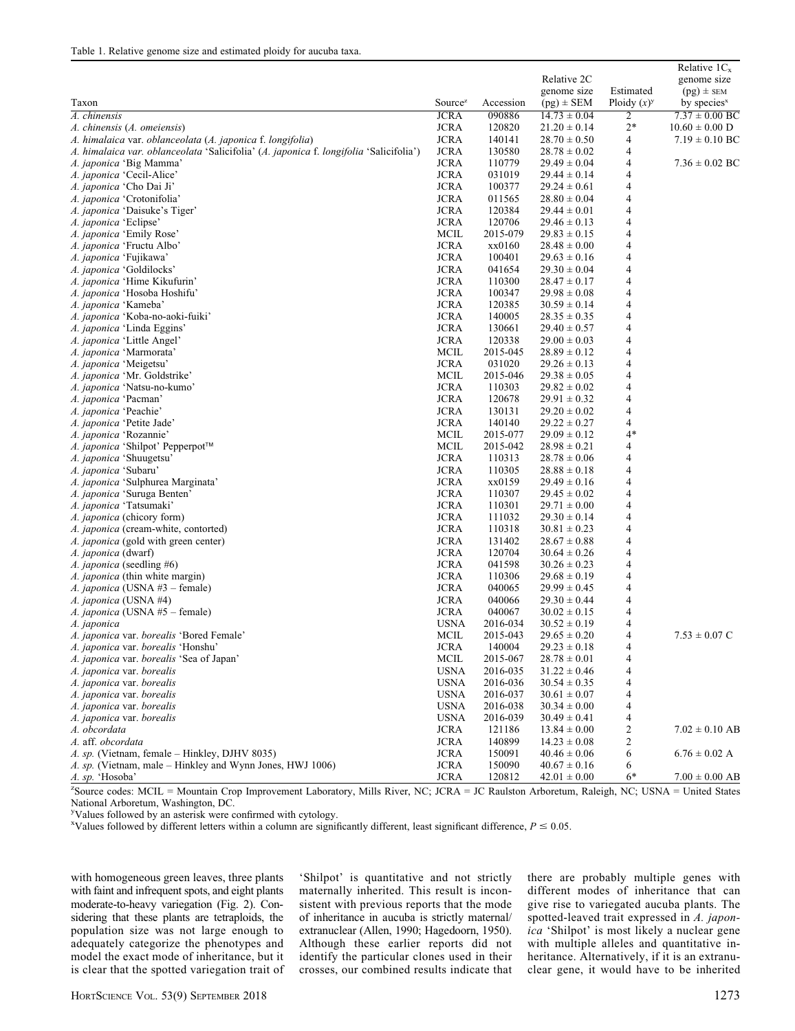|                                                                                        |                            |                  | Relative 2C<br>genome size           | Estimated      | Relative $1C_x$<br>genome size<br>$(pg)$ ± SEM |
|----------------------------------------------------------------------------------------|----------------------------|------------------|--------------------------------------|----------------|------------------------------------------------|
| Taxon                                                                                  | Source <sup>z</sup>        | Accession        | $(pg)$ ± SEM                         | Ploidy $(x)^y$ | by species $x$                                 |
| A. chinensis                                                                           | <b>JCRA</b>                | 090886           | $14.73 \pm 0.04$                     | 2              | $7.37 \pm 0.00$ BC                             |
| A. chinensis (A. omeiensis)                                                            | <b>JCRA</b>                | 120820           | $21.20 \pm 0.14$                     | $2*$           | $10.60 \pm 0.00$ D                             |
| A. himalaica var. oblanceolata (A. japonica f. longifolia)                             | <b>JCRA</b>                | 140141           | $28.70 \pm 0.50$                     | 4              | $7.19 \pm 0.10$ BC                             |
| A. himalaica var. oblanceolata 'Salicifolia' (A. japonica f. longifolia 'Salicifolia') | <b>JCRA</b>                | 130580           | $28.78 \pm 0.02$                     | 4              |                                                |
| <i>A. japonica 'Big Mamma'</i>                                                         | <b>JCRA</b>                | 110779           | $29.49 \pm 0.04$                     | 4              | $7.36 \pm 0.02$ BC                             |
| A. japonica 'Cecil-Alice'                                                              | <b>JCRA</b>                | 031019           | $29.44 \pm 0.14$                     | 4              |                                                |
| A. japonica 'Cho Dai Ji'                                                               | <b>JCRA</b>                | 100377           | $29.24 \pm 0.61$                     | 4              |                                                |
| A. japonica 'Crotonifolia'                                                             | <b>JCRA</b>                | 011565           | $28.80 \pm 0.04$                     | 4              |                                                |
| A. japonica 'Daisuke's Tiger'                                                          | <b>JCRA</b>                | 120384           | $29.44 \pm 0.01$                     | 4              |                                                |
| A. japonica 'Eclipse'                                                                  | <b>JCRA</b>                | 120706           | $29.46 \pm 0.13$                     | 4              |                                                |
| A. japonica 'Emily Rose'                                                               | <b>MCIL</b>                | 2015-079         | $29.83 \pm 0.15$                     | 4              |                                                |
| A. japonica 'Fructu Albo'                                                              | <b>JCRA</b>                | xx0160           | $28.48 \pm 0.00$                     | 4              |                                                |
| A. japonica 'Fujikawa'                                                                 | <b>JCRA</b>                | 100401           | $29.63 \pm 0.16$                     | 4              |                                                |
| A. japonica 'Goldilocks'                                                               | <b>JCRA</b>                | 041654           | $29.30 \pm 0.04$                     | 4              |                                                |
| A. japonica 'Hime Kikufurin'                                                           | <b>JCRA</b>                | 110300           | $28.47 \pm 0.17$                     | 4              |                                                |
| <i>A. japonica '</i> Hosoba Hoshifu'                                                   | <b>JCRA</b>                | 100347           | $29.98 \pm 0.08$                     | 4              |                                                |
| <i>A. japonica '</i> Kameba'                                                           | <b>JCRA</b>                | 120385           | $30.59 \pm 0.14$                     | 4              |                                                |
| <i>A. japonica '</i> Koba-no-aoki-fuiki'                                               | <b>JCRA</b>                | 140005           | $28.35 \pm 0.35$                     | 4              |                                                |
| <i>A. japonica</i> 'Linda Eggins'                                                      | <b>JCRA</b>                | 130661           | $29.40 \pm 0.57$                     | 4              |                                                |
| <i>A. japonica 'Little Angel'</i>                                                      | <b>JCRA</b>                | 120338           | $29.00 \pm 0.03$                     | 4              |                                                |
| A. <i>japonica</i> 'Marmorata'                                                         | <b>MCIL</b>                | 2015-045         | $28.89 \pm 0.12$                     | 4              |                                                |
| A. japonica 'Meigetsu'                                                                 | <b>JCRA</b>                | 031020           | $29.26 \pm 0.13$                     | 4              |                                                |
| A. japonica 'Mr. Goldstrike'                                                           | <b>MCIL</b>                | 2015-046         | $29.38 \pm 0.05$                     | 4              |                                                |
| A. japonica 'Natsu-no-kumo'                                                            | <b>JCRA</b>                | 110303           | $29.82 \pm 0.02$                     | 4              |                                                |
| A. japonica 'Pacman'                                                                   | <b>JCRA</b>                | 120678           | $29.91 \pm 0.32$                     | 4              |                                                |
| A. japonica 'Peachie'                                                                  | <b>JCRA</b>                | 130131           | $29.20 \pm 0.02$                     | 4              |                                                |
| A. japonica 'Petite Jade'                                                              | <b>JCRA</b>                | 140140           | $29.22 \pm 0.27$                     | 4              |                                                |
| A. japonica 'Rozannie'                                                                 | <b>MCIL</b>                | 2015-077         | $29.09 \pm 0.12$                     | $4*$           |                                                |
| A. japonica 'Shilpot' Pepperpot™                                                       | <b>MCIL</b>                | 2015-042         | $28.98 \pm 0.21$                     | 4              |                                                |
| A. japonica 'Shuugetsu'                                                                | <b>JCRA</b>                | 110313           | $28.78 \pm 0.06$                     | 4              |                                                |
| A. <i>japonica</i> 'Subaru'                                                            | <b>JCRA</b>                | 110305           | $28.88 \pm 0.18$                     | 4              |                                                |
| A. japonica 'Sulphurea Marginata'                                                      | <b>JCRA</b>                | xx0159           | $29.49 \pm 0.16$                     | 4              |                                                |
| A. japonica 'Suruga Benten'                                                            | <b>JCRA</b>                | 110307           | $29.45 \pm 0.02$                     | 4              |                                                |
| A. japonica 'Tatsumaki'                                                                | <b>JCRA</b>                | 110301           | $29.71 \pm 0.00$                     | 4              |                                                |
| A. japonica (chicory form)                                                             | <b>JCRA</b><br><b>JCRA</b> | 111032           | $29.30 \pm 0.14$                     | 4              |                                                |
| A. japonica (cream-white, contorted)<br>A. japonica (gold with green center)           | <b>JCRA</b>                | 110318           | $30.81 \pm 0.23$                     | 4<br>4         |                                                |
| <i>A. japonica</i> (dwarf)                                                             | <b>JCRA</b>                | 131402<br>120704 | $28.67 \pm 0.88$<br>$30.64 \pm 0.26$ | 4              |                                                |
| A. japonica (seedling #6)                                                              | <b>JCRA</b>                | 041598           | $30.26 \pm 0.23$                     | 4              |                                                |
| A. japonica (thin white margin)                                                        | <b>JCRA</b>                | 110306           | $29.68 \pm 0.19$                     | 4              |                                                |
| A. japonica (USNA #3 - female)                                                         | <b>JCRA</b>                | 040065           | $29.99 \pm 0.45$                     | 4              |                                                |
| A. japonica (USNA #4)                                                                  | <b>JCRA</b>                | 040066           | $29.30 \pm 0.44$                     | 4              |                                                |
| <i>A. japonica</i> (USNA #5 – female)                                                  | <b>JCRA</b>                | 040067           | $30.02 \pm 0.15$                     | 4              |                                                |
| A. japonica                                                                            | <b>USNA</b>                | 2016-034         | $30.52 \pm 0.19$                     | 4              |                                                |
| A. japonica var. borealis 'Bored Female'                                               | <b>MCIL</b>                | 2015-043         | $29.65 \pm 0.20$                     | 4              | $7.53 \pm 0.07$ C                              |
| A. japonica var. borealis 'Honshu'                                                     | <b>JCRA</b>                | 140004           | $29.23 \pm 0.18$                     | 4              |                                                |
| A. japonica var. borealis 'Sea of Japan'                                               | <b>MCIL</b>                | 2015-067         | $28.78 \pm 0.01$                     | 4              |                                                |
| A. japonica var. borealis                                                              | <b>USNA</b>                | 2016-035         | $31.22 \pm 0.46$                     | 4              |                                                |
| A. japonica var. borealis                                                              | <b>USNA</b>                | 2016-036         | $30.54 \pm 0.35$                     | 4              |                                                |
| A. japonica var. borealis                                                              | <b>USNA</b>                | 2016-037         | $30.61 \pm 0.07$                     | 4              |                                                |
| A. japonica var. borealis                                                              | <b>USNA</b>                | 2016-038         | $30.34 \pm 0.00$                     | 4              |                                                |
| A. japonica var. borealis                                                              | <b>USNA</b>                | 2016-039         | $30.49 \pm 0.41$                     | 4              |                                                |
| A. obcordata                                                                           | <b>JCRA</b>                | 121186           | $13.84 \pm 0.00$                     | 2              | $7.02 \pm 0.10$ AB                             |
| A. aff. obcordata                                                                      | <b>JCRA</b>                | 140899           | $14.23 \pm 0.08$                     | 2              |                                                |
| A. sp. (Vietnam, female – Hinkley, DJHV 8035)                                          | <b>JCRA</b>                | 150091           | $40.46 \pm 0.06$                     | 6              | $6.76 \pm 0.02$ A                              |
| A. sp. (Vietnam, male – Hinkley and Wynn Jones, HWJ 1006)                              | <b>JCRA</b>                | 150090           | $40.67 \pm 0.16$                     | 6              |                                                |
| A. sp. 'Hosoba'                                                                        | <b>JCRA</b>                | 120812           | $42.01 \pm 0.00$                     | 6*             | $7.00 \pm 0.00$ AB                             |

z Source codes: MCIL = Mountain Crop Improvement Laboratory, Mills River, NC; JCRA = JC Raulston Arboretum, Raleigh, NC; USNA = United States National Arboretum, Washington, DC.

y Values followed by an asterisk were confirmed with cytology.

<sup>x</sup>Values followed by different letters within a column are significantly different, least significant difference,  $P \le 0.05$ .

with homogeneous green leaves, three plants with faint and infrequent spots, and eight plants moderate-to-heavy variegation (Fig. 2). Considering that these plants are tetraploids, the population size was not large enough to adequately categorize the phenotypes and model the exact mode of inheritance, but it is clear that the spotted variegation trait of

'Shilpot' is quantitative and not strictly maternally inherited. This result is inconsistent with previous reports that the mode of inheritance in aucuba is strictly maternal/ extranuclear (Allen, 1990; Hagedoorn, 1950). Although these earlier reports did not identify the particular clones used in their crosses, our combined results indicate that there are probably multiple genes with different modes of inheritance that can give rise to variegated aucuba plants. The spotted-leaved trait expressed in A. japonica 'Shilpot' is most likely a nuclear gene with multiple alleles and quantitative inheritance. Alternatively, if it is an extranuclear gene, it would have to be inherited